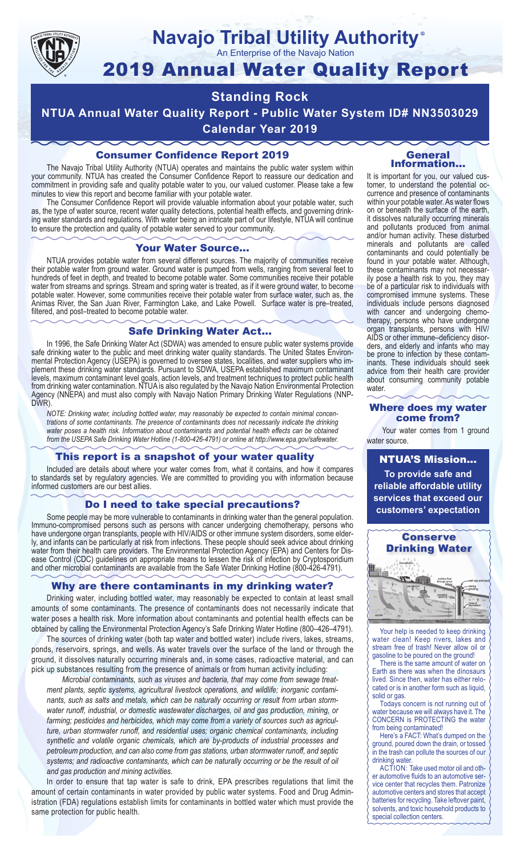

# **Navajo Tribal Utility Authority** ®

An Enterprise of the Navajo Nation

# 2019 Annual Water Quality Report

# **Standing Rock**

**NTUA Annual Water Quality Report - Public Water System ID# NN3503029 Calendar Year 2019**

# Consumer Confidence Report 2019

The Navajo Tribal Utility Authority (NTUA) operates and maintains the public water system within your community. NTUA has created the Consumer Confidence Report to reassure our dedication and commitment in providing safe and quality potable water to you, our valued customer. Please take a few minutes to view this report and become familiar with your potable water.

The Consumer Confidence Report will provide valuable information about your potable water, such as, the type of water source, recent water quality detections, potential health effects, and governing drinking water standards and regulations. With water being an intricate part of our lifestyle, NTUA will continue to ensure the protection and quality of potable water served to your community.

#### Your Water Source…

NTUA provides potable water from several different sources. The majority of communities receive their potable water from ground water. Ground water is pumped from wells, ranging from several feet to hundreds of feet in depth, and treated to become potable water. Some communities receive their potable water from streams and springs. Stream and spring water is treated, as if it were ground water, to become potable water. However, some communities receive their potable water from surface water, such as, the Animas River, the San Juan River, Farmington Lake, and Lake Powell. Surface water is pre–treated, filtered, and post–treated to become potable water.

# Safe Drinking Water Act…

In 1996, the Safe Drinking Water Act (SDWA) was amended to ensure public water systems provide safe drinking water to the public and meet drinking water quality standards. The United States Environmental Protection Agency (USEPA) is governed to oversee states, localities, and water suppliers who implement these drinking water standards. Pursuant to SDWA, USEPA established maximum contaminant levels, maximum contaminant level goals, action levels, and treatment techniques to protect public health from drinking water contamination. NTUA is also regulated by the Navajo Nation Environmental Protection Agency (NNEPA) and must also comply with Navajo Nation Primary Drinking Water Regulations (NNP-DWR)

*NOTE: Drinking water, including bottled water, may reasonably be expected to contain minimal concentrations of some contaminants. The presence of contaminants does not necessarily indicate the drinking water poses a health risk. Information about contaminants and potential health effects can be obtained from the USEPA Safe Drinking Water Hotline (1-800-426-4791) or online at http://www.epa.gov/safewater.*

#### This report is a snapshot of your water quality

Included are details about where your water comes from, what it contains, and how it compares to standards set by regulatory agencies. We are committed to providing you with information because informed customers are our best allies.

## Do I need to take special precautions?

Some people may be more vulnerable to contaminants in drinking water than the general population. Immuno-compromised persons such as persons with cancer undergoing chemotherapy, persons who have undergone organ transplants, people with HIV/AIDS or other immune system disorders, some elderly, and infants can be particularly at risk from infections. These people should seek advice about drinking water from their health care providers. The Environmental Protection Agency (EPA) and Centers for Disease Control (CDC) guidelines on appropriate means to lessen the risk of infection by Cryptosporidium and other microbial contaminants are available from the Safe Water Drinking Hotline (800-426-4791).

# Why are there contaminants in my drinking water?

Drinking water, including bottled water, may reasonably be expected to contain at least small amounts of some contaminants. The presence of contaminants does not necessarily indicate that water poses a health risk. More information about contaminants and potential health effects can be obtained by calling the Environmental Protection Agency's Safe Drinking Water Hotline (800–426–4791).

The sources of drinking water (both tap water and bottled water) include rivers, lakes, streams, ponds, reservoirs, springs, and wells. As water travels over the surface of the land or through the ground, it dissolves naturally occurring minerals and, in some cases, radioactive material, and can pick up substances resulting from the presence of animals or from human activity including:

*Microbial contaminants, such as viruses and bacteria, that may come from sewage treatment plants, septic systems, agricultural livestock operations, and wildlife; inorganic contaminants, such as salts and metals, which can be naturally occurring or result from urban stormwater runoff, industrial, or domestic wastewater discharges, oil and gas production, mining, or farming; pesticides and herbicides, which may come from a variety of sources such as agriculture, urban stormwater runoff, and residential uses; organic chemical contaminants, including synthetic and volatile organic chemicals, which are by-products of industrial processes and petroleum production, and can also come from gas stations, urban stormwater runoff, and septic systems; and radioactive contaminants, which can be naturally occurring or be the result of oil and gas production and mining activities.*

In order to ensure that tap water is safe to drink, EPA prescribes regulations that limit the amount of certain contaminants in water provided by public water systems. Food and Drug Administration (FDA) regulations establish limits for contaminants in bottled water which must provide the same protection for public health.

#### General Information…

It is important for you, our valued customer, to understand the potential occurrence and presence of contaminants within your potable water. As water flows on or beneath the surface of the earth, it dissolves naturally occurring minerals and pollutants produced from animal and/or human activity. These disturbed minerals and pollutants are called contaminants and could potentially be found in your potable water. Although, these contaminants may not necessarily pose a health risk to you, they may be of a particular risk to individuals with compromised immune systems. These individuals include persons diagnosed with cancer and undergoing chemo-<br>therapy, persons who have undergone organ transplants, persons with HIV/ AIDS or other immune–deficiency disor- ders, and elderly and infants who may be prone to infection by these contam- inants. These individuals should seek advice from their health care provider about consuming community potable water.

#### Where does my water come from?

Your water comes from 1 ground water source.

NTUA'S Mission... **To provide safe and reliable affordable utility services that exceed our customers' expectation**



Your help is needed to keep drinking water clean! Keep rivers, lakes and stream free of trash! Never allow oil or gasoline to be poured on the ground!

There is the same amount of water on Earth as there was when the dinosaurs lived. Since then, water has either relocated or is in another form such as liquid, solid or gas.

Todays concern is not running out of water because we will always have it. The CONCERN is PROTECTING the water from being contaminated!

Here's a FACT: What's dumped on the ground, poured down the drain, or tossed in the trash can pollute the sources of our drinking water.

ACTION: Take used motor oil and other automotive fluids to an automotive service center that recycles them. Patronize automotive centers and stores that accept batteries for recycling. Take leftover paint, solvents, and toxic household products to special collection centers.